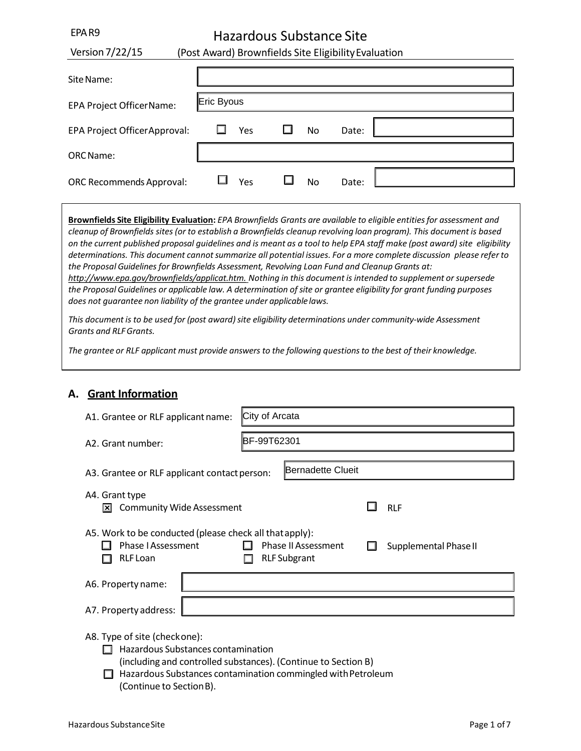# Hazardous Substance Site

| Version $7/22/15$                                                                                                                                                                                                                                                                                                                                                                                                                                                                                                                                                                                                                                                                                                                                                                                                                                                                                                                                                                                                                                                                                                                                                                    |            |     |                |    | (Post Award) Brownfields Site Eligibility Evaluation |  |
|--------------------------------------------------------------------------------------------------------------------------------------------------------------------------------------------------------------------------------------------------------------------------------------------------------------------------------------------------------------------------------------------------------------------------------------------------------------------------------------------------------------------------------------------------------------------------------------------------------------------------------------------------------------------------------------------------------------------------------------------------------------------------------------------------------------------------------------------------------------------------------------------------------------------------------------------------------------------------------------------------------------------------------------------------------------------------------------------------------------------------------------------------------------------------------------|------------|-----|----------------|----|------------------------------------------------------|--|
| Site Name:                                                                                                                                                                                                                                                                                                                                                                                                                                                                                                                                                                                                                                                                                                                                                                                                                                                                                                                                                                                                                                                                                                                                                                           |            |     |                |    |                                                      |  |
| <b>EPA Project OfficerName:</b>                                                                                                                                                                                                                                                                                                                                                                                                                                                                                                                                                                                                                                                                                                                                                                                                                                                                                                                                                                                                                                                                                                                                                      | Eric Byous |     |                |    |                                                      |  |
| EPA Project Officer Approval:                                                                                                                                                                                                                                                                                                                                                                                                                                                                                                                                                                                                                                                                                                                                                                                                                                                                                                                                                                                                                                                                                                                                                        |            | Yes |                | No | Date:                                                |  |
| <b>ORC</b> Name:                                                                                                                                                                                                                                                                                                                                                                                                                                                                                                                                                                                                                                                                                                                                                                                                                                                                                                                                                                                                                                                                                                                                                                     |            |     |                |    |                                                      |  |
| <b>ORC Recommends Approval:</b>                                                                                                                                                                                                                                                                                                                                                                                                                                                                                                                                                                                                                                                                                                                                                                                                                                                                                                                                                                                                                                                                                                                                                      |            | Yes |                | No | Date:                                                |  |
| Brownfields Site Eligibility Evaluation: EPA Brownfields Grants are available to eligible entities for assessment and<br>cleanup of Brownfields sites (or to establish a Brownfields cleanup revolving loan program). This document is based<br>on the current published proposal guidelines and is meant as a tool to help EPA staff make (post award) site eligibility<br>determinations. This document cannot summarize all potential issues. For a more complete discussion please refer to<br>the Proposal Guidelines for Brownfields Assessment, Revolving Loan Fund and Cleanup Grants at:<br>http://www.epa.gov/brownfields/applicat.htm. Nothing in this document is intended to supplement or supersede<br>the Proposal Guidelines or applicable law. A determination of site or grantee eligibility for grant funding purposes<br>does not guarantee non liability of the grantee under applicable laws.<br>This document is to be used for (post award) site eligibility determinations under community-wide Assessment<br><b>Grants and RLF Grants.</b><br>The grantee or RLF applicant must provide answers to the following questions to the best of their knowledge. |            |     |                |    |                                                      |  |
| <b>Grant Information</b><br>А.                                                                                                                                                                                                                                                                                                                                                                                                                                                                                                                                                                                                                                                                                                                                                                                                                                                                                                                                                                                                                                                                                                                                                       |            |     |                |    |                                                      |  |
| A1. Grantee or RLF applicant name:                                                                                                                                                                                                                                                                                                                                                                                                                                                                                                                                                                                                                                                                                                                                                                                                                                                                                                                                                                                                                                                                                                                                                   |            |     | City of Arcata |    |                                                      |  |

## **A. Grant Information**

EPAR9

| A1. Grantee or RLF applicant name:                                                                                                                                                    | City of Arcata                                                                                                                 |            |  |  |
|---------------------------------------------------------------------------------------------------------------------------------------------------------------------------------------|--------------------------------------------------------------------------------------------------------------------------------|------------|--|--|
| A2. Grant number:                                                                                                                                                                     | BF-99T62301                                                                                                                    |            |  |  |
| A3. Grantee or RLF applicant contact person:                                                                                                                                          | <b>Bernadette Clueit</b>                                                                                                       |            |  |  |
| A4. Grant type<br><b>Community Wide Assessment</b><br>l×l                                                                                                                             |                                                                                                                                | <b>RLF</b> |  |  |
| A5. Work to be conducted (please check all that apply):<br><b>Phase I Assessment</b><br><b>Phase II Assessment</b><br>Supplemental Phase II<br><b>RLF Subgrant</b><br><b>RLF</b> Loan |                                                                                                                                |            |  |  |
| A6. Property name:                                                                                                                                                                    |                                                                                                                                |            |  |  |
| A7. Property address:                                                                                                                                                                 |                                                                                                                                |            |  |  |
| A8. Type of site (checkone):<br>Hazardous Substances contamination                                                                                                                    | (including and controlled substances). (Continue to Section B)<br>Hazardous Substances contamination commingled with Petroleum |            |  |  |

(Continue to SectionB).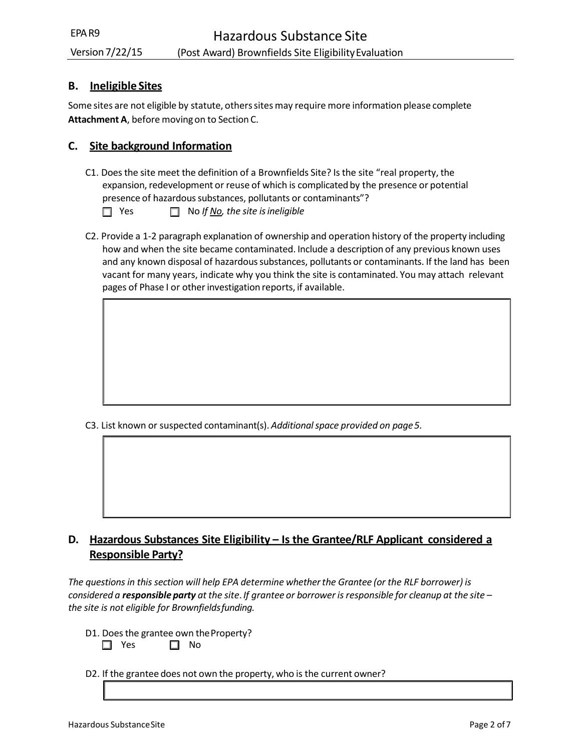## **B. Ineligible Sites**

Some sites are not eligible by statute, others sites may require more information please complete **Attachment A**, before moving on to Section C.

## **C. Site background Information**

- C1. Does the site meet the definition of a Brownfields Site? Is the site "real property, the expansion, redevelopment or reuse of which is complicated by the presence or potential presence of hazardous substances, pollutants or contaminants"? ■ Yes ■ No *If <u>No</u>, the site is ineligible*
- C2. Provide a 1‐2 paragraph explanation of ownership and operation history of the property including how and when the site became contaminated. Include a description of any previous known uses and any known disposal of hazardous substances, pollutants or contaminants. If the land has been vacant for many years, indicate why you think the site is contaminated. You may attach relevant pages of Phase I or other investigation reports, if available.

C3. List known or suspected contaminant(s). *Additional space provided on page5.*

## **D. Hazardous Substances Site Eligibility – Is the Grantee/RLF Applicant considered a Responsible Party?**

*The questions in this section will help EPA determine whether the Grantee (or the RLF borrower) is considered a responsible party at the site*. *If grantee or borrower isresponsible for cleanup at the site – the site is not eligible for Brownfieldsfunding.*

- D1. Does the grantee own the Property?  $\Box$  Yes  $\Box$  No
- D2. If the grantee does not own the property, who is the current owner?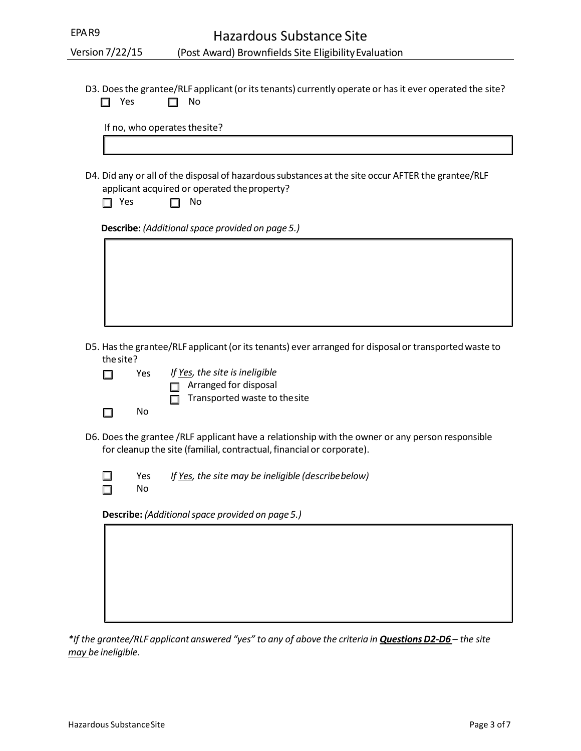D3. Does the grantee/RLF applicant (or its tenants) currently operate or has it ever operated the site?  $\Box$  Yes  $\Box$  No

If no, who operates thesite?

D4. Did any or all of the disposal of hazardous substances at the site occur AFTER the grantee/RLF applicant acquired or operated theproperty?

| Yes | No |
|-----|----|
|     |    |

**Describe:** *(Additional space provided on page 5.)*

| D5. Has the grantee/RLF applicant (or its tenants) ever arranged for disposal or transported waste to |  |  |
|-------------------------------------------------------------------------------------------------------|--|--|
| the site?                                                                                             |  |  |

| □      | Yes | If Yes, the site is ineligible       |
|--------|-----|--------------------------------------|
|        |     | $\Box$ Arranged for disposal         |
|        |     | $\Box$ Transported waste to the site |
| $\Box$ | Nο  |                                      |

- D6. Does the grantee /RLF applicant have a relationship with the owner or any person responsible for cleanup the site (familial, contractual, financial or corporate).
	- $\Box$  $\Box$

No

Yes *If Yes, the site may be ineligible (describebelow)*

**Describe:** *(Additional space provided on page 5.)*

*\*If the grantee/RLF applicant answered "yes" to any of above the criteria in Questions D2‐D6 – the site may be ineligible.*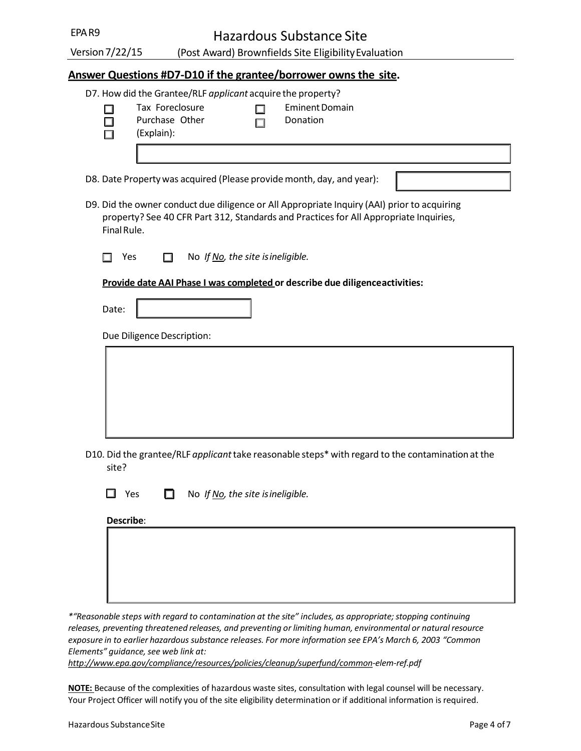(Post Award) Brownfields Site EligibilityEvaluation

## **Answer Questions #D7‐D10 if the grantee/borrower owns the site.**

|             | D7. How did the Grantee/RLF applicant acquire the property?                                       |
|-------------|---------------------------------------------------------------------------------------------------|
|             | Tax Foreclosure<br><b>Eminent Domain</b>                                                          |
|             | Purchase Other<br>Donation                                                                        |
|             | (Explain):                                                                                        |
|             |                                                                                                   |
|             |                                                                                                   |
|             | D8. Date Property was acquired (Please provide month, day, and year):                             |
|             |                                                                                                   |
|             | D9. Did the owner conduct due diligence or All Appropriate Inquiry (AAI) prior to acquiring       |
|             | property? See 40 CFR Part 312, Standards and Practices for All Appropriate Inquiries,             |
| Final Rule. |                                                                                                   |
|             |                                                                                                   |
| Yes         | No If No, the site is ineligible.                                                                 |
|             | Provide date AAI Phase I was completed or describe due diligence activities:                      |
|             |                                                                                                   |
| Date:       |                                                                                                   |
|             |                                                                                                   |
|             | Due Diligence Description:                                                                        |
|             |                                                                                                   |
|             |                                                                                                   |
|             |                                                                                                   |
|             |                                                                                                   |
|             |                                                                                                   |
|             |                                                                                                   |
|             |                                                                                                   |
|             |                                                                                                   |
|             | D10. Did the grantee/RLF applicant take reasonable steps* with regard to the contamination at the |
| site?       |                                                                                                   |

Yes No *If No, the site isineligible.*

**Describe**:

| --------- |  |  |  |
|-----------|--|--|--|
|           |  |  |  |
|           |  |  |  |
|           |  |  |  |
|           |  |  |  |
|           |  |  |  |
|           |  |  |  |
|           |  |  |  |
|           |  |  |  |
|           |  |  |  |
|           |  |  |  |
|           |  |  |  |
|           |  |  |  |
|           |  |  |  |
|           |  |  |  |
|           |  |  |  |

*\*"Reasonable steps with regard to contamination at the site" includes, as appropriate; stopping continuing releases, preventing threatened releases, and preventing or limiting human, environmental or natural resource exposure in to earlier hazardous substance releases. For more information see EPA's March 6, 2003 "Common Elements" guidance, see web link at:* 

*[http://www.epa.gov/compliance/resources/policies/cleanup/superfund/common‐elem‐ref.pdf](http://www.epa.gov/compliance/resources/policies/cleanup/superfund/common-elem-ref.pdf)*

**NOTE:** Because of the complexities of hazardous waste sites, consultation with legal counsel will be necessary. Your Project Officer will notify you of the site eligibility determination or if additional information is required.

Version7/22/15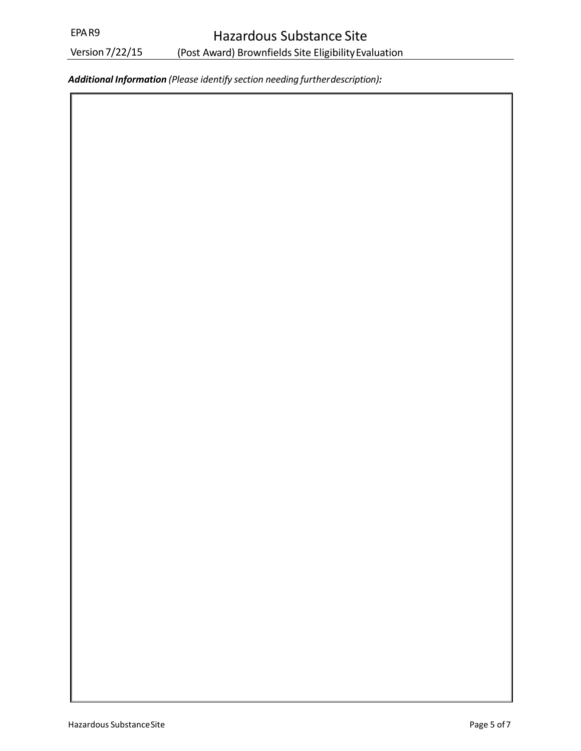Version7/22/15

*Additional Information (Please identify section needing furtherdescription):*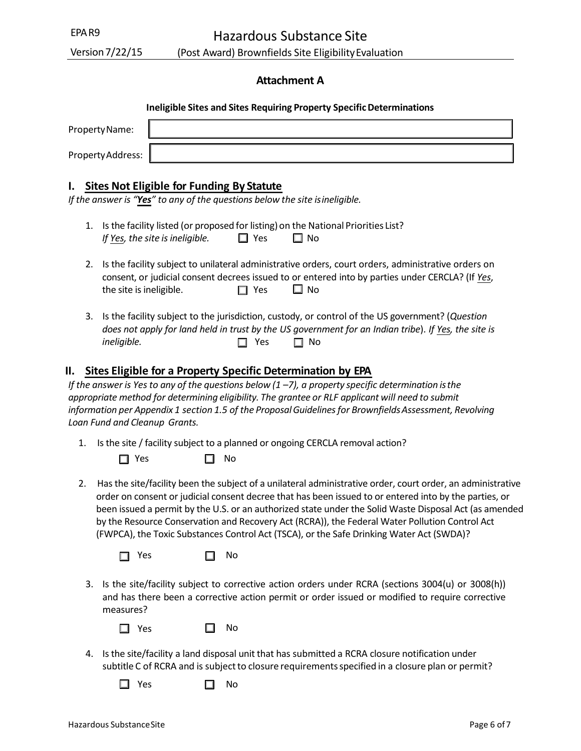## **Attachment A**

#### **Ineligible Sites and Sites Requiring Property SpecificDeterminations**

| Property Name:    |  |
|-------------------|--|
| Property Address: |  |

#### **I. Sites Not Eligible for Funding By Statute**

*If the answer is "Yes" to any of the questions below the site isineligible.*

- 1. Is the facility listed (or proposed for listing) on the National Priorities List? *If* Yes, the site is ineligible.  $\Box$  Yes  $\Box$  No
- the site is ineligible.  $\Box$  Yes  $\Box$  No 2. Is the facility subject to unilateral administrative orders, court orders, administrative orders on consent, or judicial consent decrees issued to or entered into by parties under CERCLA? (If *Yes*,
- 3. Is the facility subject to the jurisdiction, custody, or control of the US government? (*Question* does not apply for land held in trust by the US government for an Indian tribe). If <u>Yes</u>, the site is *ineligible.*  $\Box$  Yes  $\Box$  No

## **II. Sites Eligible for a Property Specific Determination by EPA**

 *information per Appendix 1 section 1.5 of the ProposalGuidelinesfor BrownfieldsAssessment, Revolving If the answer is Yes to any of the questions below (1 –7), a property specific determination isthe appropriate method for determining eligibility. The grantee or RLF applicant will need to submit Loan Fund and Cleanup Grants.*

1. Is the site / facility subject to a planned or ongoing CERCLA removal action?

| $\Box$ Yes |  | $\square$ No |
|------------|--|--------------|
|------------|--|--------------|

2. Has the site/facility been the subject of a unilateral administrative order, court order, an administrative order on consent or judicial consent decree that has been issued to or entered into by the parties, or been issued a permit by the U.S. or an authorized state under the Solid Waste Disposal Act (as amended by the Resource Conservation and Recovery Act (RCRA)), the Federal Water Pollution Control Act (FWPCA), the Toxic Substances Control Act (TSCA), or the Safe Drinking Water Act (SWDA)?

 $\Box$  Yes  $\Box$  No

3. Is the site/facility subject to corrective action orders under RCRA (sections 3004(u) or 3008(h)) and has there been a corrective action permit or order issued or modified to require corrective measures?

| I | <b>Yes</b> |  | No |
|---|------------|--|----|
|---|------------|--|----|

- 4. Is the site/facility a land disposal unit that has submitted a RCRA closure notification under subtitle C of RCRA and is subject to closure requirements specified in a closure plan or permit?
	- $\Box$  Yes  $\Box$  No